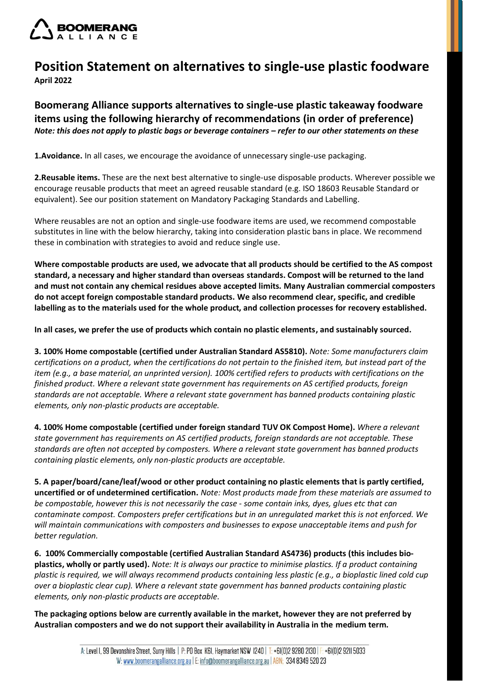

## **Position Statement on alternatives to single-use plastic foodware April 2022**

**Boomerang Alliance supports alternatives to single-use plastic takeaway foodware items using the following hierarchy of recommendations (in order of preference)** *Note: this does not apply to plastic bags or beverage containers – refer to our other statements on these* 

**1.Avoidance.** In all cases, we encourage the avoidance of unnecessary single-use packaging.

**2.Reusable items.** These are the next best alternative to single-use disposable products. Wherever possible we encourage reusable products that meet an agreed reusable standard (e.g. ISO 18603 Reusable Standard or equivalent). See our position statement on Mandatory Packaging Standards and Labelling.

Where reusables are not an option and single-use foodware items are used, we recommend compostable substitutes in line with the below hierarchy, taking into consideration plastic bans in place. We recommend these in combination with strategies to avoid and reduce single use.

**Where compostable products are used, we advocate that all products should be certified to the AS compost standard, a necessary and higher standard than overseas standards. Compost will be returned to the land and must not contain any chemical residues above accepted limits***.* **Many Australian commercial composters do not accept foreign compostable standard products. We also recommend clear, specific, and credible labelling as to the materials used for the whole product, and collection processes for recovery established.**

**In all cases, we prefer the use of products which contain no plastic elements, and sustainably sourced.**

**3. 100% Home compostable (certified under Australian Standard AS5810).** *Note: Some manufacturers claim certifications on a product, when the certifications do not pertain to the finished item, but instead part of the item (e.g., a base material, an unprinted version). 100% certified refers to products with certifications on the finished product. Where a relevant state government has requirements on AS certified products, foreign standards are not acceptable. Where a relevant state government has banned products containing plastic elements, only non-plastic products are acceptable.*

**4. 100% Home compostable (certified under foreign standard TUV OK Compost Home).** *Where a relevant state government has requirements on AS certified products, foreign standards are not acceptable. These standards are often not accepted by composters. Where a relevant state government has banned products containing plastic elements, only non-plastic products are acceptable.*

**5. A paper/board/cane/leaf/wood or other product containing no plastic elements that is partly certified, uncertified or of undetermined certification.** *Note: Most products made from these materials are assumed to be compostable, however this is not necessarily the case - some contain inks, dyes, glues etc that can contaminate compost. Composters prefer certifications but in an unregulated market this is not enforced. We will maintain communications with composters and businesses to expose unacceptable items and push for better regulation.*

**6. 100% Commercially compostable (certified Australian Standard AS4736) products (this includes bioplastics, wholly or partly used).** *Note: It is always our practice to minimise plastics. If a product containing plastic is required, we will always recommend products containing less plastic (e.g., a bioplastic lined cold cup over a bioplastic clear cup). Where a relevant state government has banned products containing plastic elements, only non-plastic products are acceptable.*

**The packaging options below are currently available in the market, however they are not preferred by Australian composters and we do not support their availability in Australia in the medium term.**